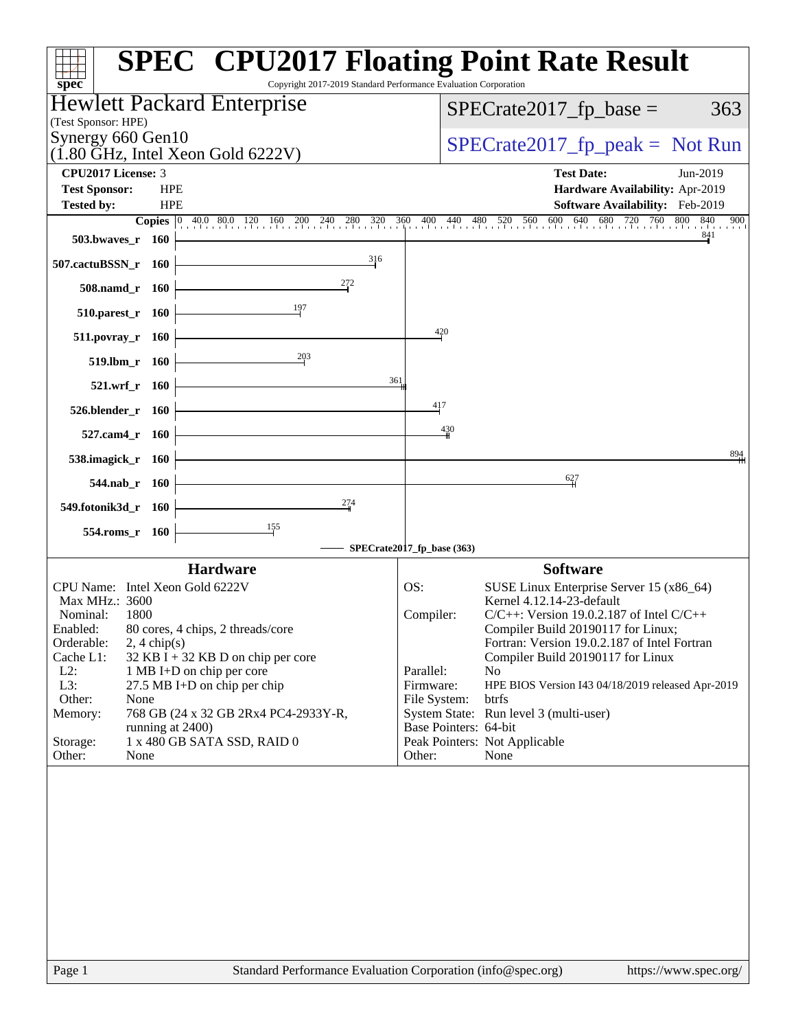| Copyright 2017-2019 Standard Performance Evaluation Corporation<br>$spec^*$               | <b>SPEC<sup>®</sup> CPU2017 Floating Point Rate Result</b>                              |
|-------------------------------------------------------------------------------------------|-----------------------------------------------------------------------------------------|
| Hewlett Packard Enterprise                                                                | $SPECrate2017_fp\_base =$<br>363                                                        |
| (Test Sponsor: HPE)<br>Synergy 660 Gen10                                                  |                                                                                         |
| $(1.80 \text{ GHz}, \text{Intel Xeon Gold } 6222 \text{V})$                               | $SPECTate2017_fp\_peak = Not Run$                                                       |
| CPU2017 License: 3                                                                        | <b>Test Date:</b><br>Jun-2019                                                           |
| <b>Test Sponsor:</b><br><b>HPE</b><br><b>HPE</b><br><b>Tested by:</b>                     | Hardware Availability: Apr-2019<br>Software Availability: Feb-2019                      |
|                                                                                           | 900                                                                                     |
| 503.bwayes_r 160                                                                          | 841                                                                                     |
| 316<br>507.cactuBSSN_r 160                                                                |                                                                                         |
| 272<br>508.namd_r 160                                                                     |                                                                                         |
| 197<br>$510.parest_r$ 160                                                                 |                                                                                         |
| $511. povray_r 160$                                                                       | 420                                                                                     |
| $\frac{203}{2}$<br>519.lbm_r 160                                                          |                                                                                         |
| 361<br>521.wrf_r 160                                                                      |                                                                                         |
| $526.blender_r 160$                                                                       | 417                                                                                     |
| 527.cam4_r 160                                                                            | 430                                                                                     |
| 538.imagick_r 160                                                                         | 894                                                                                     |
| 544.nab $r$ 160                                                                           | 627                                                                                     |
| 274<br>549.fotonik3d_r 160                                                                |                                                                                         |
|                                                                                           |                                                                                         |
| 554.roms_r 160                                                                            | SPECrate2017_fp_base (363)                                                              |
| <b>Hardware</b>                                                                           | <b>Software</b>                                                                         |
| CPU Name: Intel Xeon Gold 6222V                                                           | OS:<br>SUSE Linux Enterprise Server 15 (x86_64)                                         |
| Max MHz.: 3600<br>Nominal:<br>1800                                                        | Kernel 4.12.14-23-default<br>Compiler:<br>$C/C++$ : Version 19.0.2.187 of Intel $C/C++$ |
| Enabled:<br>80 cores, 4 chips, 2 threads/core                                             | Compiler Build 20190117 for Linux;                                                      |
| Orderable:<br>$2, 4 \text{ chip}(s)$<br>Cache L1:<br>$32$ KB I + 32 KB D on chip per core | Fortran: Version 19.0.2.187 of Intel Fortran<br>Compiler Build 20190117 for Linux       |
| $L2$ :<br>1 MB I+D on chip per core                                                       | Parallel:<br>N <sub>o</sub>                                                             |
| L3:<br>27.5 MB I+D on chip per chip<br>Other:<br>None                                     | Firmware:<br>HPE BIOS Version I43 04/18/2019 released Apr-2019<br>btrfs<br>File System: |
| Memory:<br>768 GB (24 x 32 GB 2Rx4 PC4-2933Y-R,                                           | System State: Run level 3 (multi-user)                                                  |
| running at 2400)<br>1 x 480 GB SATA SSD, RAID 0<br>Storage:                               | Base Pointers: 64-bit<br>Peak Pointers: Not Applicable                                  |
| Other:<br>None                                                                            | Other:<br>None                                                                          |
|                                                                                           |                                                                                         |
|                                                                                           |                                                                                         |
|                                                                                           |                                                                                         |
|                                                                                           |                                                                                         |
|                                                                                           |                                                                                         |
|                                                                                           |                                                                                         |
|                                                                                           |                                                                                         |
|                                                                                           |                                                                                         |
|                                                                                           |                                                                                         |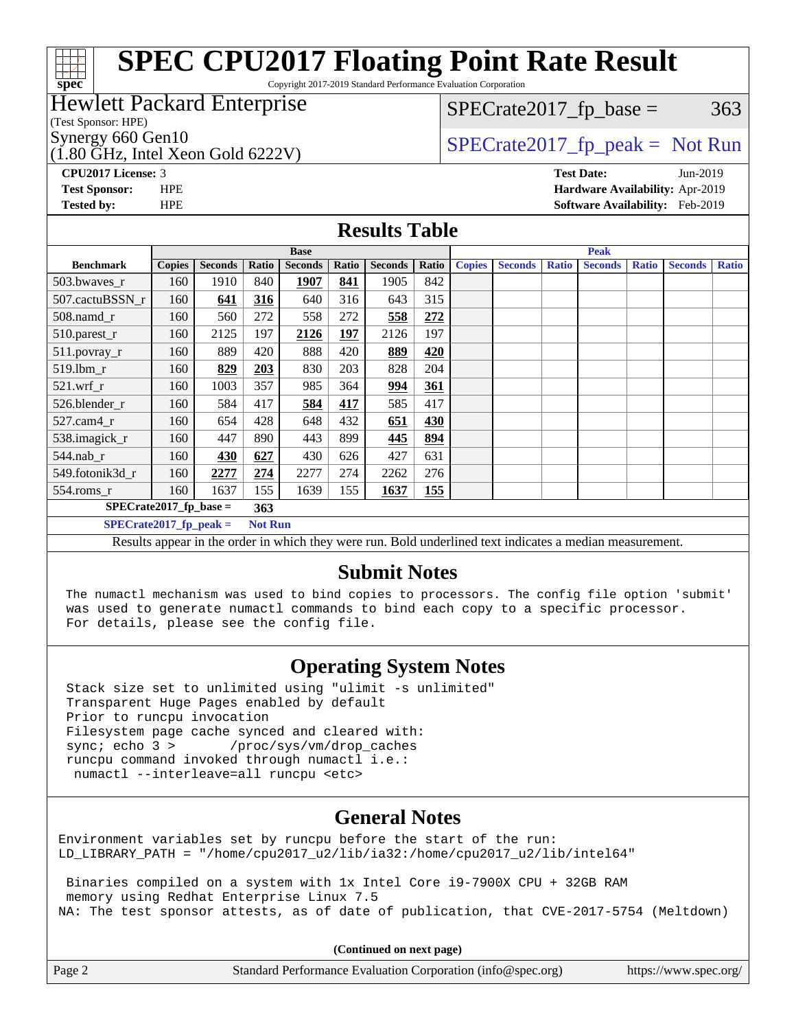#### **[spec](http://www.spec.org/) [SPEC CPU2017 Floating Point Rate Result](http://www.spec.org/auto/cpu2017/Docs/result-fields.html#SPECCPU2017FloatingPointRateResult)** Copyright 2017-2019 Standard Performance Evaluation Corporation (Test Sponsor: HPE) Hewlett Packard Enterprise  $(1.80 \text{ GHz}, \text{Intel Xeon Gold } 6222 \text{V})$ Synergy 660 Gen10  $SPECrate2017$  fp\_peak = Not Run  $SPECTate2017<sub>fp</sub> base =  $363$$ **[CPU2017 License:](http://www.spec.org/auto/cpu2017/Docs/result-fields.html#CPU2017License)** 3 **[Test Date:](http://www.spec.org/auto/cpu2017/Docs/result-fields.html#TestDate)** Jun-2019 **[Test Sponsor:](http://www.spec.org/auto/cpu2017/Docs/result-fields.html#TestSponsor)** HPE **[Hardware Availability:](http://www.spec.org/auto/cpu2017/Docs/result-fields.html#HardwareAvailability)** Apr-2019 **[Tested by:](http://www.spec.org/auto/cpu2017/Docs/result-fields.html#Testedby)** HPE **[Software Availability:](http://www.spec.org/auto/cpu2017/Docs/result-fields.html#SoftwareAvailability)** Feb-2019 **[Results Table](http://www.spec.org/auto/cpu2017/Docs/result-fields.html#ResultsTable) [Benchmark](http://www.spec.org/auto/cpu2017/Docs/result-fields.html#Benchmark) [Copies](http://www.spec.org/auto/cpu2017/Docs/result-fields.html#Copies) [Seconds](http://www.spec.org/auto/cpu2017/Docs/result-fields.html#Seconds) [Ratio](http://www.spec.org/auto/cpu2017/Docs/result-fields.html#Ratio) [Seconds](http://www.spec.org/auto/cpu2017/Docs/result-fields.html#Seconds) [Ratio](http://www.spec.org/auto/cpu2017/Docs/result-fields.html#Ratio) [Seconds](http://www.spec.org/auto/cpu2017/Docs/result-fields.html#Seconds) [Ratio](http://www.spec.org/auto/cpu2017/Docs/result-fields.html#Ratio) Base [Copies](http://www.spec.org/auto/cpu2017/Docs/result-fields.html#Copies) [Seconds](http://www.spec.org/auto/cpu2017/Docs/result-fields.html#Seconds) [Ratio](http://www.spec.org/auto/cpu2017/Docs/result-fields.html#Ratio) [Seconds](http://www.spec.org/auto/cpu2017/Docs/result-fields.html#Seconds) [Ratio](http://www.spec.org/auto/cpu2017/Docs/result-fields.html#Ratio) [Seconds](http://www.spec.org/auto/cpu2017/Docs/result-fields.html#Seconds) [Ratio](http://www.spec.org/auto/cpu2017/Docs/result-fields.html#Ratio) Peak** [503.bwaves\\_r](http://www.spec.org/auto/cpu2017/Docs/benchmarks/503.bwaves_r.html) 160 1910 840 **[1907](http://www.spec.org/auto/cpu2017/Docs/result-fields.html#Median) [841](http://www.spec.org/auto/cpu2017/Docs/result-fields.html#Median)** 1905 842 [507.cactuBSSN\\_r](http://www.spec.org/auto/cpu2017/Docs/benchmarks/507.cactuBSSN_r.html) 160 **[641](http://www.spec.org/auto/cpu2017/Docs/result-fields.html#Median) [316](http://www.spec.org/auto/cpu2017/Docs/result-fields.html#Median)** 640 316 643 315 [508.namd\\_r](http://www.spec.org/auto/cpu2017/Docs/benchmarks/508.namd_r.html) 160 560 272 558 272 **[558](http://www.spec.org/auto/cpu2017/Docs/result-fields.html#Median) [272](http://www.spec.org/auto/cpu2017/Docs/result-fields.html#Median)** [510.parest\\_r](http://www.spec.org/auto/cpu2017/Docs/benchmarks/510.parest_r.html) 160 2125 197 **[2126](http://www.spec.org/auto/cpu2017/Docs/result-fields.html#Median) [197](http://www.spec.org/auto/cpu2017/Docs/result-fields.html#Median)** 2126 197 [511.povray\\_r](http://www.spec.org/auto/cpu2017/Docs/benchmarks/511.povray_r.html) 160 889 420 888 420 **[889](http://www.spec.org/auto/cpu2017/Docs/result-fields.html#Median) [420](http://www.spec.org/auto/cpu2017/Docs/result-fields.html#Median)** 519.1bm<sub>\_r</sub> 160 **[829](http://www.spec.org/auto/cpu2017/Docs/result-fields.html#Median) [203](http://www.spec.org/auto/cpu2017/Docs/result-fields.html#Median)** 830 203 828 204 [521.wrf\\_r](http://www.spec.org/auto/cpu2017/Docs/benchmarks/521.wrf_r.html) 160 1003 357 985 364 **[994](http://www.spec.org/auto/cpu2017/Docs/result-fields.html#Median) [361](http://www.spec.org/auto/cpu2017/Docs/result-fields.html#Median)**

#### **[Submit Notes](http://www.spec.org/auto/cpu2017/Docs/result-fields.html#SubmitNotes)**

Results appear in the [order in which they were run](http://www.spec.org/auto/cpu2017/Docs/result-fields.html#RunOrder). Bold underlined text [indicates a median measurement](http://www.spec.org/auto/cpu2017/Docs/result-fields.html#Median).

 The numactl mechanism was used to bind copies to processors. The config file option 'submit' was used to generate numactl commands to bind each copy to a specific processor. For details, please see the config file.

#### **[Operating System Notes](http://www.spec.org/auto/cpu2017/Docs/result-fields.html#OperatingSystemNotes)**

 Stack size set to unlimited using "ulimit -s unlimited" Transparent Huge Pages enabled by default Prior to runcpu invocation Filesystem page cache synced and cleared with:<br>sync: echo 3 > /proc/sys/vm/drop caches /proc/sys/vm/drop\_caches runcpu command invoked through numactl i.e.: numactl --interleave=all runcpu <etc>

[526.blender\\_r](http://www.spec.org/auto/cpu2017/Docs/benchmarks/526.blender_r.html) 160 584 417 **[584](http://www.spec.org/auto/cpu2017/Docs/result-fields.html#Median) [417](http://www.spec.org/auto/cpu2017/Docs/result-fields.html#Median)** 585 417 [527.cam4\\_r](http://www.spec.org/auto/cpu2017/Docs/benchmarks/527.cam4_r.html) 160 654 428 648 432 **[651](http://www.spec.org/auto/cpu2017/Docs/result-fields.html#Median) [430](http://www.spec.org/auto/cpu2017/Docs/result-fields.html#Median)** [538.imagick\\_r](http://www.spec.org/auto/cpu2017/Docs/benchmarks/538.imagick_r.html) 160 447 890 443 899 **[445](http://www.spec.org/auto/cpu2017/Docs/result-fields.html#Median) [894](http://www.spec.org/auto/cpu2017/Docs/result-fields.html#Median)** [544.nab\\_r](http://www.spec.org/auto/cpu2017/Docs/benchmarks/544.nab_r.html) 160 **[430](http://www.spec.org/auto/cpu2017/Docs/result-fields.html#Median)** [627](http://www.spec.org/auto/cpu2017/Docs/result-fields.html#Median) 430 626 427 631 [549.fotonik3d\\_r](http://www.spec.org/auto/cpu2017/Docs/benchmarks/549.fotonik3d_r.html) 160 **[2277](http://www.spec.org/auto/cpu2017/Docs/result-fields.html#Median) [274](http://www.spec.org/auto/cpu2017/Docs/result-fields.html#Median)** 2277 274 2262 276 [554.roms\\_r](http://www.spec.org/auto/cpu2017/Docs/benchmarks/554.roms_r.html) 160 1637 155 1639 155 **[1637](http://www.spec.org/auto/cpu2017/Docs/result-fields.html#Median) [155](http://www.spec.org/auto/cpu2017/Docs/result-fields.html#Median)**

> **[SPECrate2017\\_fp\\_base =](http://www.spec.org/auto/cpu2017/Docs/result-fields.html#SPECrate2017fpbase) 363 [SPECrate2017\\_fp\\_peak =](http://www.spec.org/auto/cpu2017/Docs/result-fields.html#SPECrate2017fppeak) Not Run**

#### **[General Notes](http://www.spec.org/auto/cpu2017/Docs/result-fields.html#GeneralNotes)**

Environment variables set by runcpu before the start of the run: LD LIBRARY PATH = "/home/cpu2017 u2/lib/ia32:/home/cpu2017 u2/lib/intel64"

 Binaries compiled on a system with 1x Intel Core i9-7900X CPU + 32GB RAM memory using Redhat Enterprise Linux 7.5 NA: The test sponsor attests, as of date of publication, that CVE-2017-5754 (Meltdown)

**(Continued on next page)**

| Page 2 | Standard Performance Evaluation Corporation (info@spec.org) | https://www.spec.org/ |
|--------|-------------------------------------------------------------|-----------------------|
|        |                                                             |                       |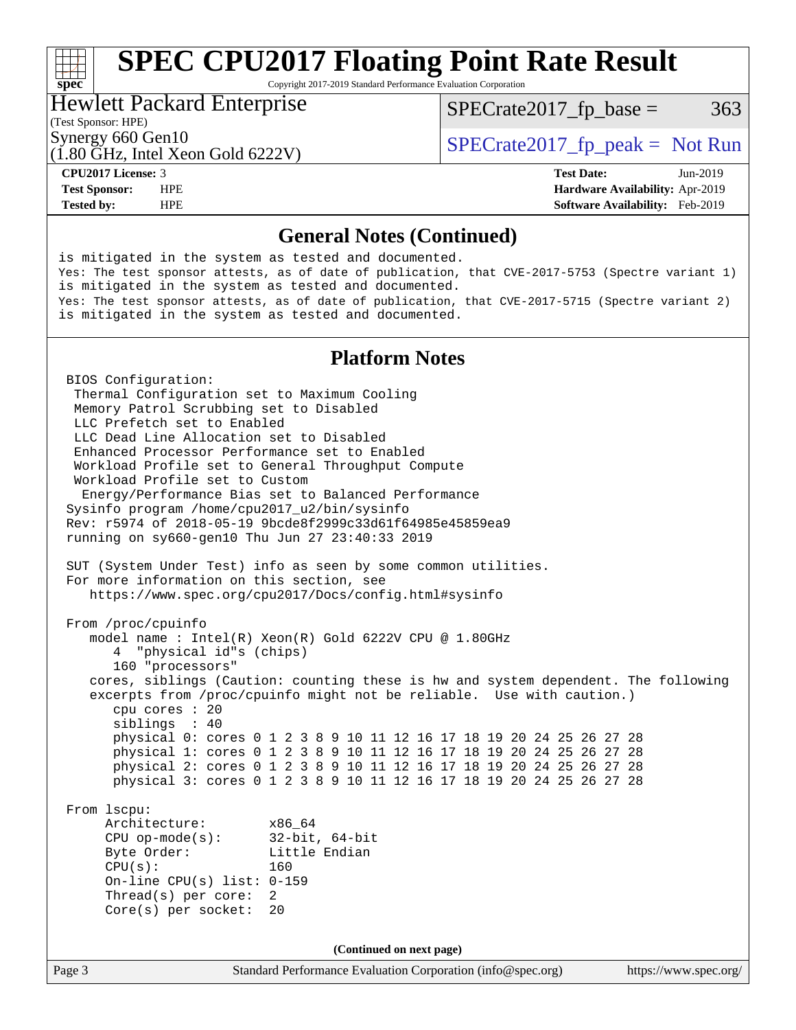# **[SPEC CPU2017 Floating Point Rate Result](http://www.spec.org/auto/cpu2017/Docs/result-fields.html#SPECCPU2017FloatingPointRateResult)**

Copyright 2017-2019 Standard Performance Evaluation Corporation

### Hewlett Packard Enterprise

 $SPECTate2017<sub>fr</sub> base = 363$ 

### (Test Sponsor: HPE)

(1.80 GHz, Intel Xeon Gold 6222V)

Synergy 660 Gen10  $S^{perg}$  [SPECrate2017\\_fp\\_peak =](http://www.spec.org/auto/cpu2017/Docs/result-fields.html#SPECrate2017fppeak) Not Run

**[spec](http://www.spec.org/)**<sup>®</sup>

**[Tested by:](http://www.spec.org/auto/cpu2017/Docs/result-fields.html#Testedby)** HPE **[Software Availability:](http://www.spec.org/auto/cpu2017/Docs/result-fields.html#SoftwareAvailability)** Feb-2019

**[CPU2017 License:](http://www.spec.org/auto/cpu2017/Docs/result-fields.html#CPU2017License)** 3 **[Test Date:](http://www.spec.org/auto/cpu2017/Docs/result-fields.html#TestDate)** Jun-2019 **[Test Sponsor:](http://www.spec.org/auto/cpu2017/Docs/result-fields.html#TestSponsor)** HPE **[Hardware Availability:](http://www.spec.org/auto/cpu2017/Docs/result-fields.html#HardwareAvailability)** Apr-2019

#### **[General Notes \(Continued\)](http://www.spec.org/auto/cpu2017/Docs/result-fields.html#GeneralNotes)**

Page 3 Standard Performance Evaluation Corporation [\(info@spec.org\)](mailto:info@spec.org) <https://www.spec.org/> is mitigated in the system as tested and documented. Yes: The test sponsor attests, as of date of publication, that CVE-2017-5753 (Spectre variant 1) is mitigated in the system as tested and documented. Yes: The test sponsor attests, as of date of publication, that CVE-2017-5715 (Spectre variant 2) is mitigated in the system as tested and documented. **[Platform Notes](http://www.spec.org/auto/cpu2017/Docs/result-fields.html#PlatformNotes)** BIOS Configuration: Thermal Configuration set to Maximum Cooling Memory Patrol Scrubbing set to Disabled LLC Prefetch set to Enabled LLC Dead Line Allocation set to Disabled Enhanced Processor Performance set to Enabled Workload Profile set to General Throughput Compute Workload Profile set to Custom Energy/Performance Bias set to Balanced Performance Sysinfo program /home/cpu2017\_u2/bin/sysinfo Rev: r5974 of 2018-05-19 9bcde8f2999c33d61f64985e45859ea9 running on sy660-gen10 Thu Jun 27 23:40:33 2019 SUT (System Under Test) info as seen by some common utilities. For more information on this section, see <https://www.spec.org/cpu2017/Docs/config.html#sysinfo> From /proc/cpuinfo model name : Intel(R) Xeon(R) Gold 6222V CPU @ 1.80GHz 4 "physical id"s (chips) 160 "processors" cores, siblings (Caution: counting these is hw and system dependent. The following excerpts from /proc/cpuinfo might not be reliable. Use with caution.) cpu cores : 20 siblings : 40 physical 0: cores 0 1 2 3 8 9 10 11 12 16 17 18 19 20 24 25 26 27 28 physical 1: cores 0 1 2 3 8 9 10 11 12 16 17 18 19 20 24 25 26 27 28 physical 2: cores 0 1 2 3 8 9 10 11 12 16 17 18 19 20 24 25 26 27 28 physical 3: cores 0 1 2 3 8 9 10 11 12 16 17 18 19 20 24 25 26 27 28 From lscpu: Architecture: x86\_64 CPU op-mode(s): 32-bit, 64-bit Byte Order: Little Endian  $CPU(s):$  160 On-line CPU(s) list: 0-159 Thread(s) per core: 2 Core(s) per socket: 20 **(Continued on next page)**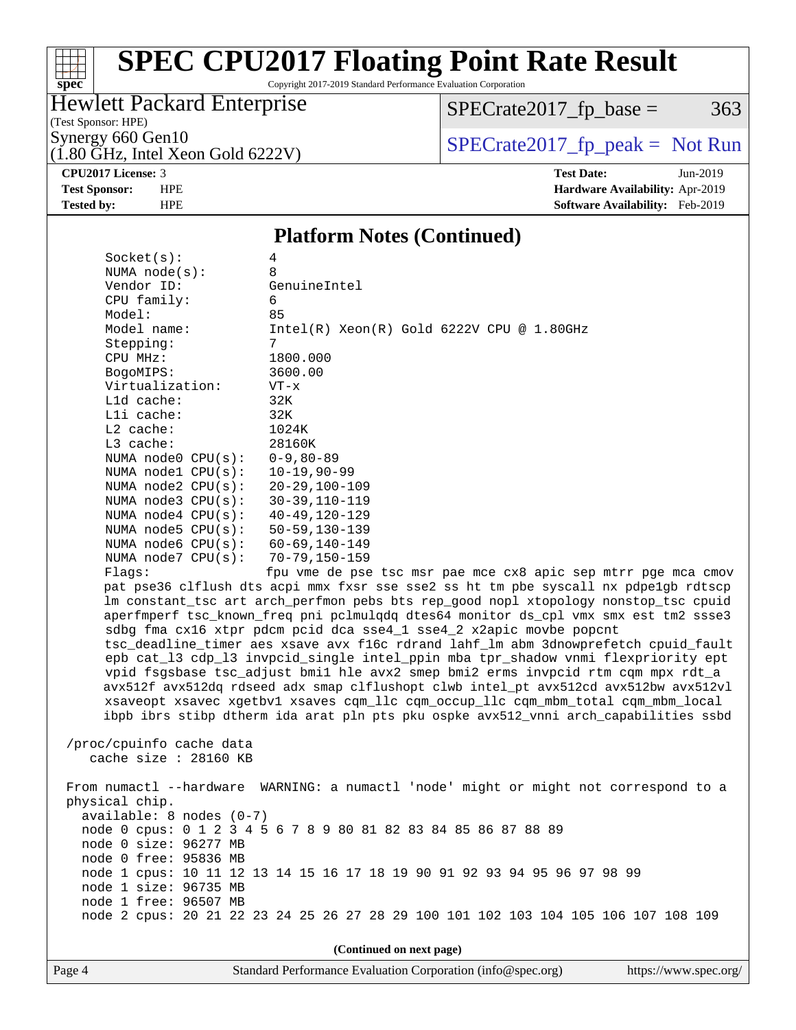# **[spec](http://www.spec.org/)**

# **[SPEC CPU2017 Floating Point Rate Result](http://www.spec.org/auto/cpu2017/Docs/result-fields.html#SPECCPU2017FloatingPointRateResult)**

Copyright 2017-2019 Standard Performance Evaluation Corporation

## Hewlett Packard Enterprise

 $SPECTate2017_fp\_base = 363$ 

(Test Sponsor: HPE)

 $(1.80 \text{ GHz}, \text{Intel Xeon Gold } 6222 \text{V})$ 

Synergy 660 Gen10<br>(1.80 GHz, Intel Xeon Gold 6222V) [SPECrate2017\\_fp\\_peak =](http://www.spec.org/auto/cpu2017/Docs/result-fields.html#SPECrate2017fppeak) Not Run

**[CPU2017 License:](http://www.spec.org/auto/cpu2017/Docs/result-fields.html#CPU2017License)** 3 **[Test Date:](http://www.spec.org/auto/cpu2017/Docs/result-fields.html#TestDate)** Jun-2019 **[Test Sponsor:](http://www.spec.org/auto/cpu2017/Docs/result-fields.html#TestSponsor)** HPE **[Hardware Availability:](http://www.spec.org/auto/cpu2017/Docs/result-fields.html#HardwareAvailability)** Apr-2019 **[Tested by:](http://www.spec.org/auto/cpu2017/Docs/result-fields.html#Testedby)** HPE **[Software Availability:](http://www.spec.org/auto/cpu2017/Docs/result-fields.html#SoftwareAvailability)** Feb-2019

#### **[Platform Notes \(Continued\)](http://www.spec.org/auto/cpu2017/Docs/result-fields.html#PlatformNotes)**

| Socket(s):                                                                           | 4                                                                                    |  |  |  |  |  |  |  |
|--------------------------------------------------------------------------------------|--------------------------------------------------------------------------------------|--|--|--|--|--|--|--|
| NUMA $node(s):$                                                                      | 8                                                                                    |  |  |  |  |  |  |  |
| Vendor ID:                                                                           | GenuineIntel                                                                         |  |  |  |  |  |  |  |
| CPU family:                                                                          | 6                                                                                    |  |  |  |  |  |  |  |
| Model:                                                                               | 85                                                                                   |  |  |  |  |  |  |  |
| Model name:                                                                          | $Intel(R) Xeon(R) Gold 6222V CPU @ 1.80GHz$                                          |  |  |  |  |  |  |  |
| Stepping:                                                                            | $7\overline{ }$                                                                      |  |  |  |  |  |  |  |
| CPU MHz:                                                                             | 1800.000                                                                             |  |  |  |  |  |  |  |
| BogoMIPS:                                                                            | 3600.00                                                                              |  |  |  |  |  |  |  |
| Virtualization:                                                                      | $VT - x$                                                                             |  |  |  |  |  |  |  |
| L1d cache:                                                                           | 32K                                                                                  |  |  |  |  |  |  |  |
| Lli cache:                                                                           | 32K                                                                                  |  |  |  |  |  |  |  |
| L2 cache:                                                                            | 1024K                                                                                |  |  |  |  |  |  |  |
| L3 cache:                                                                            | 28160K                                                                               |  |  |  |  |  |  |  |
| NUMA $node0$ $CPU(s):$<br>NUMA nodel $CPU(s):$                                       | $0 - 9, 80 - 89$<br>$10 - 19,90 - 99$                                                |  |  |  |  |  |  |  |
| NUMA node2 CPU(s):                                                                   | $20 - 29, 100 - 109$                                                                 |  |  |  |  |  |  |  |
| NUMA $node3$ CPU $(s)$ :                                                             | $30 - 39, 110 - 119$                                                                 |  |  |  |  |  |  |  |
| NUMA $node4$ $CPU(s):$                                                               | $40 - 49, 120 - 129$                                                                 |  |  |  |  |  |  |  |
| NUMA node5 CPU(s):                                                                   | $50 - 59, 130 - 139$                                                                 |  |  |  |  |  |  |  |
| NUMA $node6$ $CPU(s):$                                                               | $60 - 69, 140 - 149$                                                                 |  |  |  |  |  |  |  |
| NUMA $node7$ CPU $(s)$ :                                                             | $70 - 79, 150 - 159$                                                                 |  |  |  |  |  |  |  |
| fpu vme de pse tsc msr pae mce cx8 apic sep mtrr pge mca cmov<br>Flaqs:              |                                                                                      |  |  |  |  |  |  |  |
|                                                                                      | pat pse36 clflush dts acpi mmx fxsr sse sse2 ss ht tm pbe syscall nx pdpe1gb rdtscp  |  |  |  |  |  |  |  |
| lm constant_tsc art arch_perfmon pebs bts rep_good nopl xtopology nonstop_tsc cpuid  |                                                                                      |  |  |  |  |  |  |  |
| aperfmperf tsc_known_freq pni pclmulqdq dtes64 monitor ds_cpl vmx smx est tm2 ssse3  |                                                                                      |  |  |  |  |  |  |  |
| sdbg fma cx16 xtpr pdcm pcid dca sse4_1 sse4_2 x2apic movbe popcnt                   |                                                                                      |  |  |  |  |  |  |  |
| tsc_deadline_timer aes xsave avx f16c rdrand lahf_lm abm 3dnowprefetch cpuid_fault   |                                                                                      |  |  |  |  |  |  |  |
| epb cat_13 cdp_13 invpcid_single intel_ppin mba tpr_shadow vnmi flexpriority ept     |                                                                                      |  |  |  |  |  |  |  |
| vpid fsgsbase tsc_adjust bmil hle avx2 smep bmi2 erms invpcid rtm cqm mpx rdt_a      |                                                                                      |  |  |  |  |  |  |  |
|                                                                                      | avx512f avx512dq rdseed adx smap clflushopt clwb intel_pt avx512cd avx512bw avx512vl |  |  |  |  |  |  |  |
|                                                                                      | xsaveopt xsavec xgetbvl xsaves cqm_llc cqm_occup_llc cqm_mbm_total cqm_mbm_local     |  |  |  |  |  |  |  |
|                                                                                      | ibpb ibrs stibp dtherm ida arat pln pts pku ospke avx512_vnni arch_capabilities ssbd |  |  |  |  |  |  |  |
|                                                                                      |                                                                                      |  |  |  |  |  |  |  |
| /proc/cpuinfo cache data                                                             |                                                                                      |  |  |  |  |  |  |  |
| cache size : 28160 KB                                                                |                                                                                      |  |  |  |  |  |  |  |
| From numactl --hardware WARNING: a numactl 'node' might or might not correspond to a |                                                                                      |  |  |  |  |  |  |  |
| physical chip.                                                                       |                                                                                      |  |  |  |  |  |  |  |
| $available: 8 nodes (0-7)$                                                           |                                                                                      |  |  |  |  |  |  |  |
|                                                                                      | node 0 cpus: 0 1 2 3 4 5 6 7 8 9 80 81 82 83 84 85 86 87 88 89                       |  |  |  |  |  |  |  |
| node 0 size: 96277 MB                                                                |                                                                                      |  |  |  |  |  |  |  |
| node 0 free: 95836 MB                                                                |                                                                                      |  |  |  |  |  |  |  |
|                                                                                      | node 1 cpus: 10 11 12 13 14 15 16 17 18 19 90 91 92 93 94 95 96 97 98 99             |  |  |  |  |  |  |  |
| node 1 size: 96735 MB                                                                |                                                                                      |  |  |  |  |  |  |  |
| node 1 free: 96507 MB                                                                |                                                                                      |  |  |  |  |  |  |  |
|                                                                                      | node 2 cpus: 20 21 22 23 24 25 26 27 28 29 100 101 102 103 104 105 106 107 108 109   |  |  |  |  |  |  |  |
|                                                                                      |                                                                                      |  |  |  |  |  |  |  |
|                                                                                      | (Continued on next page)                                                             |  |  |  |  |  |  |  |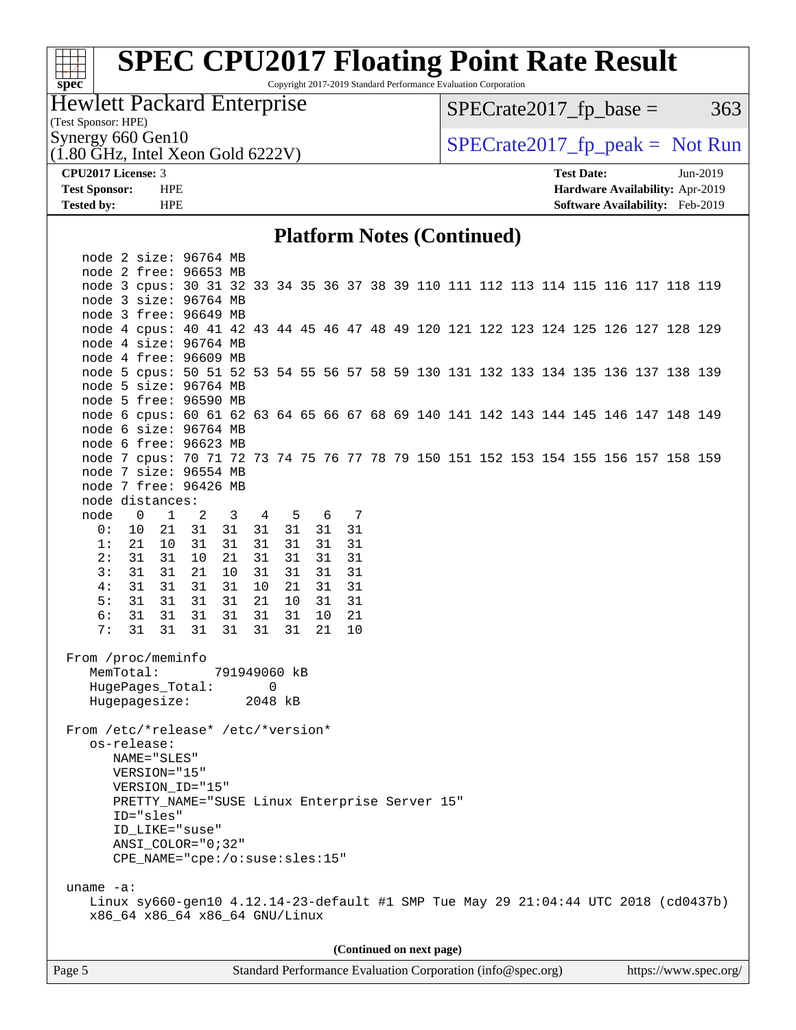### **[SPEC CPU2017 Floating Point Rate Result](http://www.spec.org/auto/cpu2017/Docs/result-fields.html#SPECCPU2017FloatingPointRateResult)** Copyright 2017-2019 Standard Performance Evaluation Corporation

### Hewlett Packard Enterprise

 $SPECTate2017_fp\_base = 363$ 

(Test Sponsor: HPE)

**[spec](http://www.spec.org/)**

 $(1.80 \text{ GHz}, \text{Intel Xeon Gold } 6222 \text{V})$ 

Synergy 660 Gen10<br>(1.80 GHz, Intel Xeon Gold 6222V) [SPECrate2017\\_fp\\_peak =](http://www.spec.org/auto/cpu2017/Docs/result-fields.html#SPECrate2017fppeak) Not Run

**[CPU2017 License:](http://www.spec.org/auto/cpu2017/Docs/result-fields.html#CPU2017License)** 3 **[Test Date:](http://www.spec.org/auto/cpu2017/Docs/result-fields.html#TestDate)** Jun-2019 **[Test Sponsor:](http://www.spec.org/auto/cpu2017/Docs/result-fields.html#TestSponsor)** HPE **[Hardware Availability:](http://www.spec.org/auto/cpu2017/Docs/result-fields.html#HardwareAvailability)** Apr-2019 **[Tested by:](http://www.spec.org/auto/cpu2017/Docs/result-fields.html#Testedby)** HPE **[Software Availability:](http://www.spec.org/auto/cpu2017/Docs/result-fields.html#SoftwareAvailability)** Feb-2019

#### **[Platform Notes \(Continued\)](http://www.spec.org/auto/cpu2017/Docs/result-fields.html#PlatformNotes)**

|                                               | node 2 size: 96764 MB                                                              |                |                         |    |       |  |       |    |  |                          |  |  |  |  |  |
|-----------------------------------------------|------------------------------------------------------------------------------------|----------------|-------------------------|----|-------|--|-------|----|--|--------------------------|--|--|--|--|--|
|                                               | node 2 free: 96653 MB                                                              |                |                         |    |       |  |       |    |  |                          |  |  |  |  |  |
|                                               | node 3 cpus: 30 31 32 33 34 35 36 37 38 39 110 111 112 113 114 115 116 117 118 119 |                |                         |    |       |  |       |    |  |                          |  |  |  |  |  |
|                                               | node 3 size: 96764 MB                                                              |                |                         |    |       |  |       |    |  |                          |  |  |  |  |  |
|                                               | node 3 free: 96649 MB                                                              |                |                         |    |       |  |       |    |  |                          |  |  |  |  |  |
|                                               | node 4 cpus: 40 41 42 43 44 45 46 47 48 49 120 121 122 123 124 125 126 127 128 129 |                |                         |    |       |  |       |    |  |                          |  |  |  |  |  |
|                                               | node 4 size: 96764 MB                                                              |                |                         |    |       |  |       |    |  |                          |  |  |  |  |  |
|                                               | node 4 free: 96609 MB                                                              |                |                         |    |       |  |       |    |  |                          |  |  |  |  |  |
|                                               | node 5 cpus: 50 51 52 53 54 55 56 57 58 59 130 131 132 133 134 135 136 137 138 139 |                |                         |    |       |  |       |    |  |                          |  |  |  |  |  |
|                                               | node 5 size: 96764 MB                                                              |                |                         |    |       |  |       |    |  |                          |  |  |  |  |  |
|                                               | node 5 free: 96590 MB                                                              |                |                         |    |       |  |       |    |  |                          |  |  |  |  |  |
|                                               | node 6 cpus: 60 61 62 63 64 65 66 67 68 69 140 141 142 143 144 145 146 147 148 149 |                |                         |    |       |  |       |    |  |                          |  |  |  |  |  |
|                                               | node 6 size: 96764 MB                                                              |                |                         |    |       |  |       |    |  |                          |  |  |  |  |  |
|                                               | node 6 free: 96623 MB                                                              |                |                         |    |       |  |       |    |  |                          |  |  |  |  |  |
|                                               | node 7 cpus: 70 71 72 73 74 75 76 77 78 79 150 151 152 153 154 155 156 157 158 159 |                |                         |    |       |  |       |    |  |                          |  |  |  |  |  |
|                                               | node 7 size: 96554 MB                                                              |                |                         |    |       |  |       |    |  |                          |  |  |  |  |  |
|                                               | node 7 free: 96426 MB                                                              |                |                         |    |       |  |       |    |  |                          |  |  |  |  |  |
|                                               | node distances:                                                                    |                |                         |    |       |  |       |    |  |                          |  |  |  |  |  |
|                                               | node 0 1                                                                           | $\overline{a}$ | $\overline{\mathbf{3}}$ |    | 4 5   |  | 6 7   |    |  |                          |  |  |  |  |  |
| 0 :                                           | 10 21 31                                                                           |                | 31 31 31                |    |       |  | 31 31 |    |  |                          |  |  |  |  |  |
| 1:                                            | 21 10                                                                              | 31             | 31                      |    | 31 31 |  | 31    | 31 |  |                          |  |  |  |  |  |
| 2:                                            | 31 31                                                                              | 10             | 21                      | 31 | 31    |  | 31    | 31 |  |                          |  |  |  |  |  |
| 3:                                            | 31 31                                                                              | 21             | 10                      | 31 | 31    |  | 31    | 31 |  |                          |  |  |  |  |  |
| 4:                                            | 31 31                                                                              | 31             | 31                      | 10 | 21    |  | 31    | 31 |  |                          |  |  |  |  |  |
| 5:                                            | 31 31                                                                              | 31             | 31                      | 21 | 10    |  | 31    | 31 |  |                          |  |  |  |  |  |
| 6:                                            | 31 31                                                                              | 31             | 31                      |    | 31 31 |  | 10    | 21 |  |                          |  |  |  |  |  |
| 7:                                            | 31 31 31                                                                           |                | 31                      |    | 31 31 |  | 21    | 10 |  |                          |  |  |  |  |  |
|                                               |                                                                                    |                |                         |    |       |  |       |    |  |                          |  |  |  |  |  |
| From /proc/meminfo                            |                                                                                    |                |                         |    |       |  |       |    |  |                          |  |  |  |  |  |
| MemTotal:                                     |                                                                                    |                | 791949060 kB            |    |       |  |       |    |  |                          |  |  |  |  |  |
|                                               | HugePages_Total:                                                                   |                |                         | 0  |       |  |       |    |  |                          |  |  |  |  |  |
|                                               | Hugepagesize: 2048 kB                                                              |                |                         |    |       |  |       |    |  |                          |  |  |  |  |  |
|                                               |                                                                                    |                |                         |    |       |  |       |    |  |                          |  |  |  |  |  |
| From /etc/*release* /etc/*version*            |                                                                                    |                |                         |    |       |  |       |    |  |                          |  |  |  |  |  |
| os-release:                                   |                                                                                    |                |                         |    |       |  |       |    |  |                          |  |  |  |  |  |
| NAME="SLES"                                   |                                                                                    |                |                         |    |       |  |       |    |  |                          |  |  |  |  |  |
| VERSION="15"                                  |                                                                                    |                |                         |    |       |  |       |    |  |                          |  |  |  |  |  |
| VERSION_ID="15"                               |                                                                                    |                |                         |    |       |  |       |    |  |                          |  |  |  |  |  |
| PRETTY_NAME="SUSE Linux Enterprise Server 15" |                                                                                    |                |                         |    |       |  |       |    |  |                          |  |  |  |  |  |
| ID="sles"                                     |                                                                                    |                |                         |    |       |  |       |    |  |                          |  |  |  |  |  |
|                                               | ID LIKE="suse"                                                                     |                |                         |    |       |  |       |    |  |                          |  |  |  |  |  |
|                                               | $ANSI$ _COLOR=" $0:32$ "                                                           |                |                         |    |       |  |       |    |  |                          |  |  |  |  |  |
|                                               | CPE_NAME="cpe:/o:suse:sles:15"                                                     |                |                         |    |       |  |       |    |  |                          |  |  |  |  |  |
| uname $-a$ :                                  |                                                                                    |                |                         |    |       |  |       |    |  |                          |  |  |  |  |  |
|                                               | Linux sy660-gen10 4.12.14-23-default #1 SMP Tue May 29 21:04:44 UTC 2018 (cd0437b) |                |                         |    |       |  |       |    |  |                          |  |  |  |  |  |
|                                               | x86_64 x86_64 x86_64 GNU/Linux                                                     |                |                         |    |       |  |       |    |  |                          |  |  |  |  |  |
|                                               |                                                                                    |                |                         |    |       |  |       |    |  |                          |  |  |  |  |  |
|                                               |                                                                                    |                |                         |    |       |  |       |    |  |                          |  |  |  |  |  |
|                                               |                                                                                    |                |                         |    |       |  |       |    |  | (Continued on next page) |  |  |  |  |  |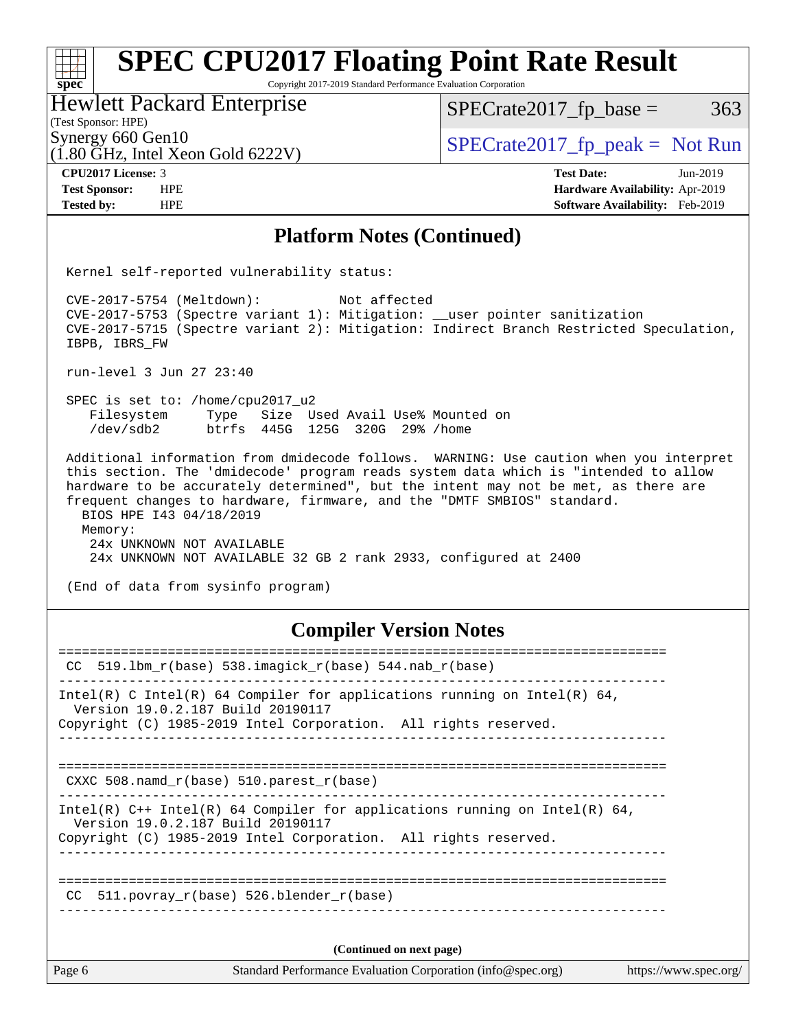#### **[spec](http://www.spec.org/) [SPEC CPU2017 Floating Point Rate Result](http://www.spec.org/auto/cpu2017/Docs/result-fields.html#SPECCPU2017FloatingPointRateResult)** Copyright 2017-2019 Standard Performance Evaluation Corporation (Test Sponsor: HPE) Hewlett Packard Enterprise (1.80 GHz, Intel Xeon Gold 6222V) Synergy 660 Gen10<br>  $SPECrate2017$  fp\_peak = Not Run  $SPECTate2017<sub>fr</sub> base = 363$ **[CPU2017 License:](http://www.spec.org/auto/cpu2017/Docs/result-fields.html#CPU2017License)** 3 **[Test Date:](http://www.spec.org/auto/cpu2017/Docs/result-fields.html#TestDate)** Jun-2019 **[Test Sponsor:](http://www.spec.org/auto/cpu2017/Docs/result-fields.html#TestSponsor)** HPE **[Hardware Availability:](http://www.spec.org/auto/cpu2017/Docs/result-fields.html#HardwareAvailability)** Apr-2019 **[Tested by:](http://www.spec.org/auto/cpu2017/Docs/result-fields.html#Testedby)** HPE **[Software Availability:](http://www.spec.org/auto/cpu2017/Docs/result-fields.html#SoftwareAvailability)** Feb-2019 **[Platform Notes \(Continued\)](http://www.spec.org/auto/cpu2017/Docs/result-fields.html#PlatformNotes)** Kernel self-reported vulnerability status: CVE-2017-5754 (Meltdown): Not affected CVE-2017-5753 (Spectre variant 1): Mitigation: \_\_user pointer sanitization CVE-2017-5715 (Spectre variant 2): Mitigation: Indirect Branch Restricted Speculation, IBPB, IBRS\_FW run-level 3 Jun 27 23:40 SPEC is set to: /home/cpu2017\_u2 Filesystem Type Size Used Avail Use% Mounted on /dev/sdb2 btrfs 445G 125G 320G 29% /home Additional information from dmidecode follows. WARNING: Use caution when you interpret this section. The 'dmidecode' program reads system data which is "intended to allow hardware to be accurately determined", but the intent may not be met, as there are frequent changes to hardware, firmware, and the "DMTF SMBIOS" standard. BIOS HPE I43 04/18/2019 Memory: 24x UNKNOWN NOT AVAILABLE 24x UNKNOWN NOT AVAILABLE 32 GB 2 rank 2933, configured at 2400 (End of data from sysinfo program) **[Compiler Version Notes](http://www.spec.org/auto/cpu2017/Docs/result-fields.html#CompilerVersionNotes)** ============================================================================== CC 519.lbm\_r(base) 538.imagick\_r(base) 544.nab\_r(base) ------------------------------------------------------------------------------ Intel(R) C Intel(R) 64 Compiler for applications running on Intel(R) 64, Version 19.0.2.187 Build 20190117 Copyright (C) 1985-2019 Intel Corporation. All rights reserved. ------------------------------------------------------------------------------ ============================================================================== CXXC 508.namd  $r(base)$  510.parest  $r(base)$ ------------------------------------------------------------------------------ Intel(R)  $C++$  Intel(R) 64 Compiler for applications running on Intel(R) 64,

 Version 19.0.2.187 Build 20190117 Copyright (C) 1985-2019 Intel Corporation. All rights reserved.

============================================================================== CC 511.povray  $r(base)$  526.blender  $r(base)$ ------------------------------------------------------------------------------

------------------------------------------------------------------------------

**(Continued on next page)**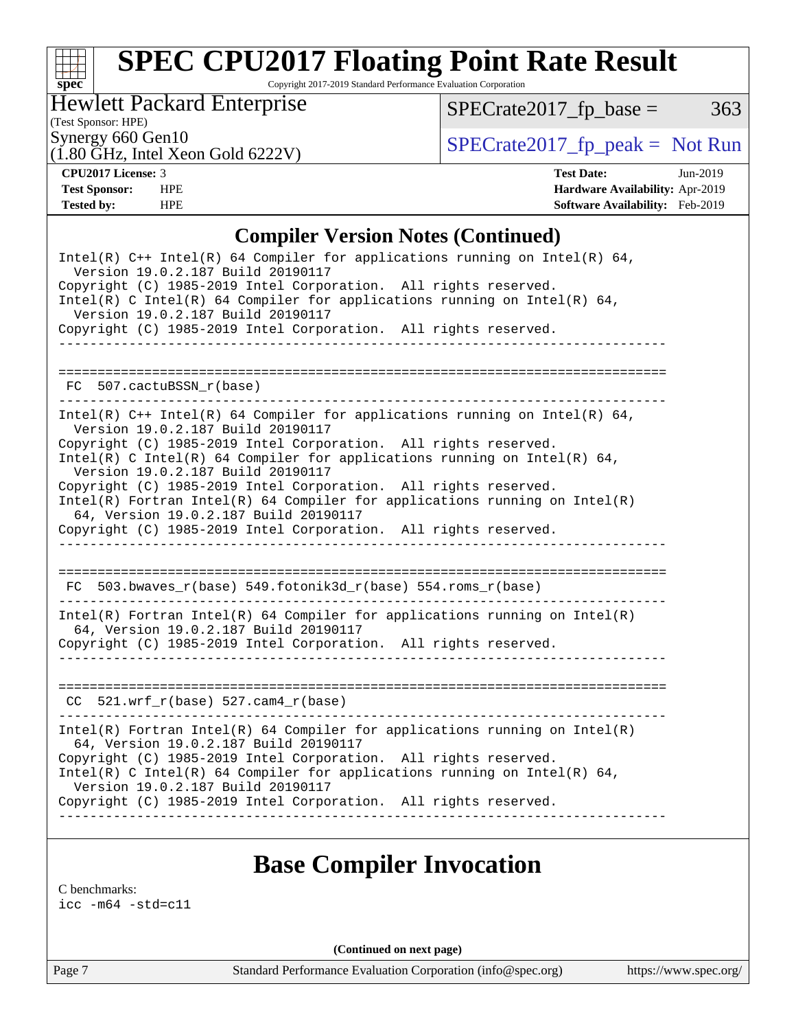### $\pm$ **[spec](http://www.spec.org/)**

# **[SPEC CPU2017 Floating Point Rate Result](http://www.spec.org/auto/cpu2017/Docs/result-fields.html#SPECCPU2017FloatingPointRateResult)**

Copyright 2017-2019 Standard Performance Evaluation Corporation

Hewlett Packard Enterprise

 $SPECTate2017_fp\_base = 363$ 

#### (Test Sponsor: HPE)

(1.80 GHz, Intel Xeon Gold 6222V)

Synergy 660 Gen10<br>  $SPECrate2017_fp\_peak = Not Run$ 

**[CPU2017 License:](http://www.spec.org/auto/cpu2017/Docs/result-fields.html#CPU2017License)** 3 **[Test Date:](http://www.spec.org/auto/cpu2017/Docs/result-fields.html#TestDate)** Jun-2019 **[Test Sponsor:](http://www.spec.org/auto/cpu2017/Docs/result-fields.html#TestSponsor)** HPE **[Hardware Availability:](http://www.spec.org/auto/cpu2017/Docs/result-fields.html#HardwareAvailability)** Apr-2019 **[Tested by:](http://www.spec.org/auto/cpu2017/Docs/result-fields.html#Testedby)** HPE **[Software Availability:](http://www.spec.org/auto/cpu2017/Docs/result-fields.html#SoftwareAvailability)** Feb-2019

#### **[Compiler Version Notes \(Continued\)](http://www.spec.org/auto/cpu2017/Docs/result-fields.html#CompilerVersionNotes)**

| Intel(R) $C++$ Intel(R) 64 Compiler for applications running on Intel(R) 64,<br>Version 19.0.2.187 Build 20190117<br>Copyright (C) 1985-2019 Intel Corporation. All rights reserved.<br>Intel(R) C Intel(R) 64 Compiler for applications running on Intel(R) 64,<br>Version 19.0.2.187 Build 20190117<br>Copyright (C) 1985-2019 Intel Corporation. All rights reserved.                                                                                                                                                                                             |
|----------------------------------------------------------------------------------------------------------------------------------------------------------------------------------------------------------------------------------------------------------------------------------------------------------------------------------------------------------------------------------------------------------------------------------------------------------------------------------------------------------------------------------------------------------------------|
| FC 507.cactuBSSN r(base)                                                                                                                                                                                                                                                                                                                                                                                                                                                                                                                                             |
| Intel(R) $C++$ Intel(R) 64 Compiler for applications running on Intel(R) 64,<br>Version 19.0.2.187 Build 20190117<br>Copyright (C) 1985-2019 Intel Corporation. All rights reserved.<br>Intel(R) C Intel(R) 64 Compiler for applications running on Intel(R) 64,<br>Version 19.0.2.187 Build 20190117<br>Copyright (C) 1985-2019 Intel Corporation. All rights reserved.<br>$Intel(R)$ Fortran Intel(R) 64 Compiler for applications running on Intel(R)<br>64, Version 19.0.2.187 Build 20190117<br>Copyright (C) 1985-2019 Intel Corporation. All rights reserved. |
| FC 503.bwaves_r(base) 549.fotonik3d_r(base) 554.roms_r(base)                                                                                                                                                                                                                                                                                                                                                                                                                                                                                                         |
| $Intel(R)$ Fortran Intel(R) 64 Compiler for applications running on Intel(R)<br>64, Version 19.0.2.187 Build 20190117<br>Copyright (C) 1985-2019 Intel Corporation. All rights reserved.                                                                                                                                                                                                                                                                                                                                                                             |
| $CC$ 521.wrf_r(base) 527.cam4_r(base)                                                                                                                                                                                                                                                                                                                                                                                                                                                                                                                                |
| Intel(R) Fortran Intel(R) 64 Compiler for applications running on $Intel(R)$<br>64, Version 19.0.2.187 Build 20190117<br>Copyright (C) 1985-2019 Intel Corporation. All rights reserved.<br>Intel(R) C Intel(R) 64 Compiler for applications running on Intel(R) 64,<br>Version 19.0.2.187 Build 20190117<br>Copyright (C) 1985-2019 Intel Corporation. All rights reserved.                                                                                                                                                                                         |

## **[Base Compiler Invocation](http://www.spec.org/auto/cpu2017/Docs/result-fields.html#BaseCompilerInvocation)**

[C benchmarks](http://www.spec.org/auto/cpu2017/Docs/result-fields.html#Cbenchmarks):

[icc -m64 -std=c11](http://www.spec.org/cpu2017/results/res2019q3/cpu2017-20190709-16190.flags.html#user_CCbase_intel_icc_64bit_c11_33ee0cdaae7deeeab2a9725423ba97205ce30f63b9926c2519791662299b76a0318f32ddfffdc46587804de3178b4f9328c46fa7c2b0cd779d7a61945c91cd35)

**(Continued on next page)**

Page 7 Standard Performance Evaluation Corporation [\(info@spec.org\)](mailto:info@spec.org) <https://www.spec.org/>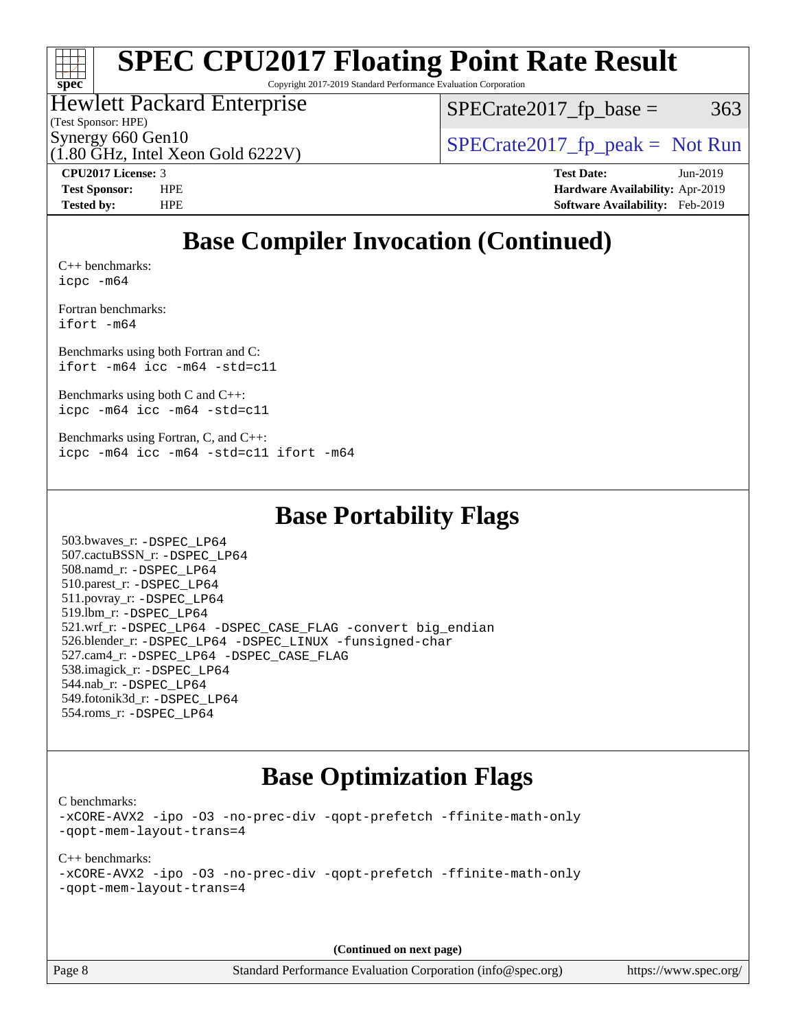

# **[SPEC CPU2017 Floating Point Rate Result](http://www.spec.org/auto/cpu2017/Docs/result-fields.html#SPECCPU2017FloatingPointRateResult)**

Copyright 2017-2019 Standard Performance Evaluation Corporation

### Hewlett Packard Enterprise

 $SPECTate2017<sub>fr</sub> base = 363$ 

(Test Sponsor: HPE)

(1.80 GHz, Intel Xeon Gold 6222V)

Synergy 660 Gen10  $S^{perg}$  [SPECrate2017\\_fp\\_peak =](http://www.spec.org/auto/cpu2017/Docs/result-fields.html#SPECrate2017fppeak) Not Run

**[CPU2017 License:](http://www.spec.org/auto/cpu2017/Docs/result-fields.html#CPU2017License)** 3 **[Test Date:](http://www.spec.org/auto/cpu2017/Docs/result-fields.html#TestDate)** Jun-2019 **[Test Sponsor:](http://www.spec.org/auto/cpu2017/Docs/result-fields.html#TestSponsor)** HPE **[Hardware Availability:](http://www.spec.org/auto/cpu2017/Docs/result-fields.html#HardwareAvailability)** Apr-2019 **[Tested by:](http://www.spec.org/auto/cpu2017/Docs/result-fields.html#Testedby)** HPE **[Software Availability:](http://www.spec.org/auto/cpu2017/Docs/result-fields.html#SoftwareAvailability)** Feb-2019

# **[Base Compiler Invocation \(Continued\)](http://www.spec.org/auto/cpu2017/Docs/result-fields.html#BaseCompilerInvocation)**

[C++ benchmarks:](http://www.spec.org/auto/cpu2017/Docs/result-fields.html#CXXbenchmarks) [icpc -m64](http://www.spec.org/cpu2017/results/res2019q3/cpu2017-20190709-16190.flags.html#user_CXXbase_intel_icpc_64bit_4ecb2543ae3f1412ef961e0650ca070fec7b7afdcd6ed48761b84423119d1bf6bdf5cad15b44d48e7256388bc77273b966e5eb805aefd121eb22e9299b2ec9d9)

[Fortran benchmarks](http://www.spec.org/auto/cpu2017/Docs/result-fields.html#Fortranbenchmarks): [ifort -m64](http://www.spec.org/cpu2017/results/res2019q3/cpu2017-20190709-16190.flags.html#user_FCbase_intel_ifort_64bit_24f2bb282fbaeffd6157abe4f878425411749daecae9a33200eee2bee2fe76f3b89351d69a8130dd5949958ce389cf37ff59a95e7a40d588e8d3a57e0c3fd751)

[Benchmarks using both Fortran and C](http://www.spec.org/auto/cpu2017/Docs/result-fields.html#BenchmarksusingbothFortranandC): [ifort -m64](http://www.spec.org/cpu2017/results/res2019q3/cpu2017-20190709-16190.flags.html#user_CC_FCbase_intel_ifort_64bit_24f2bb282fbaeffd6157abe4f878425411749daecae9a33200eee2bee2fe76f3b89351d69a8130dd5949958ce389cf37ff59a95e7a40d588e8d3a57e0c3fd751) [icc -m64 -std=c11](http://www.spec.org/cpu2017/results/res2019q3/cpu2017-20190709-16190.flags.html#user_CC_FCbase_intel_icc_64bit_c11_33ee0cdaae7deeeab2a9725423ba97205ce30f63b9926c2519791662299b76a0318f32ddfffdc46587804de3178b4f9328c46fa7c2b0cd779d7a61945c91cd35)

[Benchmarks using both C and C++](http://www.spec.org/auto/cpu2017/Docs/result-fields.html#BenchmarksusingbothCandCXX): [icpc -m64](http://www.spec.org/cpu2017/results/res2019q3/cpu2017-20190709-16190.flags.html#user_CC_CXXbase_intel_icpc_64bit_4ecb2543ae3f1412ef961e0650ca070fec7b7afdcd6ed48761b84423119d1bf6bdf5cad15b44d48e7256388bc77273b966e5eb805aefd121eb22e9299b2ec9d9) [icc -m64 -std=c11](http://www.spec.org/cpu2017/results/res2019q3/cpu2017-20190709-16190.flags.html#user_CC_CXXbase_intel_icc_64bit_c11_33ee0cdaae7deeeab2a9725423ba97205ce30f63b9926c2519791662299b76a0318f32ddfffdc46587804de3178b4f9328c46fa7c2b0cd779d7a61945c91cd35)

[Benchmarks using Fortran, C, and C++:](http://www.spec.org/auto/cpu2017/Docs/result-fields.html#BenchmarksusingFortranCandCXX) [icpc -m64](http://www.spec.org/cpu2017/results/res2019q3/cpu2017-20190709-16190.flags.html#user_CC_CXX_FCbase_intel_icpc_64bit_4ecb2543ae3f1412ef961e0650ca070fec7b7afdcd6ed48761b84423119d1bf6bdf5cad15b44d48e7256388bc77273b966e5eb805aefd121eb22e9299b2ec9d9) [icc -m64 -std=c11](http://www.spec.org/cpu2017/results/res2019q3/cpu2017-20190709-16190.flags.html#user_CC_CXX_FCbase_intel_icc_64bit_c11_33ee0cdaae7deeeab2a9725423ba97205ce30f63b9926c2519791662299b76a0318f32ddfffdc46587804de3178b4f9328c46fa7c2b0cd779d7a61945c91cd35) [ifort -m64](http://www.spec.org/cpu2017/results/res2019q3/cpu2017-20190709-16190.flags.html#user_CC_CXX_FCbase_intel_ifort_64bit_24f2bb282fbaeffd6157abe4f878425411749daecae9a33200eee2bee2fe76f3b89351d69a8130dd5949958ce389cf37ff59a95e7a40d588e8d3a57e0c3fd751)

## **[Base Portability Flags](http://www.spec.org/auto/cpu2017/Docs/result-fields.html#BasePortabilityFlags)**

 503.bwaves\_r: [-DSPEC\\_LP64](http://www.spec.org/cpu2017/results/res2019q3/cpu2017-20190709-16190.flags.html#suite_basePORTABILITY503_bwaves_r_DSPEC_LP64) 507.cactuBSSN\_r: [-DSPEC\\_LP64](http://www.spec.org/cpu2017/results/res2019q3/cpu2017-20190709-16190.flags.html#suite_basePORTABILITY507_cactuBSSN_r_DSPEC_LP64) 508.namd\_r: [-DSPEC\\_LP64](http://www.spec.org/cpu2017/results/res2019q3/cpu2017-20190709-16190.flags.html#suite_basePORTABILITY508_namd_r_DSPEC_LP64) 510.parest\_r: [-DSPEC\\_LP64](http://www.spec.org/cpu2017/results/res2019q3/cpu2017-20190709-16190.flags.html#suite_basePORTABILITY510_parest_r_DSPEC_LP64) 511.povray\_r: [-DSPEC\\_LP64](http://www.spec.org/cpu2017/results/res2019q3/cpu2017-20190709-16190.flags.html#suite_basePORTABILITY511_povray_r_DSPEC_LP64) 519.lbm\_r: [-DSPEC\\_LP64](http://www.spec.org/cpu2017/results/res2019q3/cpu2017-20190709-16190.flags.html#suite_basePORTABILITY519_lbm_r_DSPEC_LP64) 521.wrf\_r: [-DSPEC\\_LP64](http://www.spec.org/cpu2017/results/res2019q3/cpu2017-20190709-16190.flags.html#suite_basePORTABILITY521_wrf_r_DSPEC_LP64) [-DSPEC\\_CASE\\_FLAG](http://www.spec.org/cpu2017/results/res2019q3/cpu2017-20190709-16190.flags.html#b521.wrf_r_baseCPORTABILITY_DSPEC_CASE_FLAG) [-convert big\\_endian](http://www.spec.org/cpu2017/results/res2019q3/cpu2017-20190709-16190.flags.html#user_baseFPORTABILITY521_wrf_r_convert_big_endian_c3194028bc08c63ac5d04de18c48ce6d347e4e562e8892b8bdbdc0214820426deb8554edfa529a3fb25a586e65a3d812c835984020483e7e73212c4d31a38223) 526.blender\_r: [-DSPEC\\_LP64](http://www.spec.org/cpu2017/results/res2019q3/cpu2017-20190709-16190.flags.html#suite_basePORTABILITY526_blender_r_DSPEC_LP64) [-DSPEC\\_LINUX](http://www.spec.org/cpu2017/results/res2019q3/cpu2017-20190709-16190.flags.html#b526.blender_r_baseCPORTABILITY_DSPEC_LINUX) [-funsigned-char](http://www.spec.org/cpu2017/results/res2019q3/cpu2017-20190709-16190.flags.html#user_baseCPORTABILITY526_blender_r_force_uchar_40c60f00ab013830e2dd6774aeded3ff59883ba5a1fc5fc14077f794d777847726e2a5858cbc7672e36e1b067e7e5c1d9a74f7176df07886a243d7cc18edfe67) 527.cam4\_r: [-DSPEC\\_LP64](http://www.spec.org/cpu2017/results/res2019q3/cpu2017-20190709-16190.flags.html#suite_basePORTABILITY527_cam4_r_DSPEC_LP64) [-DSPEC\\_CASE\\_FLAG](http://www.spec.org/cpu2017/results/res2019q3/cpu2017-20190709-16190.flags.html#b527.cam4_r_baseCPORTABILITY_DSPEC_CASE_FLAG) 538.imagick\_r: [-DSPEC\\_LP64](http://www.spec.org/cpu2017/results/res2019q3/cpu2017-20190709-16190.flags.html#suite_basePORTABILITY538_imagick_r_DSPEC_LP64) 544.nab\_r: [-DSPEC\\_LP64](http://www.spec.org/cpu2017/results/res2019q3/cpu2017-20190709-16190.flags.html#suite_basePORTABILITY544_nab_r_DSPEC_LP64) 549.fotonik3d\_r: [-DSPEC\\_LP64](http://www.spec.org/cpu2017/results/res2019q3/cpu2017-20190709-16190.flags.html#suite_basePORTABILITY549_fotonik3d_r_DSPEC_LP64) 554.roms\_r: [-DSPEC\\_LP64](http://www.spec.org/cpu2017/results/res2019q3/cpu2017-20190709-16190.flags.html#suite_basePORTABILITY554_roms_r_DSPEC_LP64)

## **[Base Optimization Flags](http://www.spec.org/auto/cpu2017/Docs/result-fields.html#BaseOptimizationFlags)**

[C benchmarks](http://www.spec.org/auto/cpu2017/Docs/result-fields.html#Cbenchmarks):

[-xCORE-AVX2](http://www.spec.org/cpu2017/results/res2019q3/cpu2017-20190709-16190.flags.html#user_CCbase_f-xCORE-AVX2) [-ipo](http://www.spec.org/cpu2017/results/res2019q3/cpu2017-20190709-16190.flags.html#user_CCbase_f-ipo) [-O3](http://www.spec.org/cpu2017/results/res2019q3/cpu2017-20190709-16190.flags.html#user_CCbase_f-O3) [-no-prec-div](http://www.spec.org/cpu2017/results/res2019q3/cpu2017-20190709-16190.flags.html#user_CCbase_f-no-prec-div) [-qopt-prefetch](http://www.spec.org/cpu2017/results/res2019q3/cpu2017-20190709-16190.flags.html#user_CCbase_f-qopt-prefetch) [-ffinite-math-only](http://www.spec.org/cpu2017/results/res2019q3/cpu2017-20190709-16190.flags.html#user_CCbase_f_finite_math_only_cb91587bd2077682c4b38af759c288ed7c732db004271a9512da14a4f8007909a5f1427ecbf1a0fb78ff2a814402c6114ac565ca162485bbcae155b5e4258871) [-qopt-mem-layout-trans=4](http://www.spec.org/cpu2017/results/res2019q3/cpu2017-20190709-16190.flags.html#user_CCbase_f-qopt-mem-layout-trans_fa39e755916c150a61361b7846f310bcdf6f04e385ef281cadf3647acec3f0ae266d1a1d22d972a7087a248fd4e6ca390a3634700869573d231a252c784941a8)

[C++ benchmarks:](http://www.spec.org/auto/cpu2017/Docs/result-fields.html#CXXbenchmarks) [-xCORE-AVX2](http://www.spec.org/cpu2017/results/res2019q3/cpu2017-20190709-16190.flags.html#user_CXXbase_f-xCORE-AVX2) [-ipo](http://www.spec.org/cpu2017/results/res2019q3/cpu2017-20190709-16190.flags.html#user_CXXbase_f-ipo) [-O3](http://www.spec.org/cpu2017/results/res2019q3/cpu2017-20190709-16190.flags.html#user_CXXbase_f-O3) [-no-prec-div](http://www.spec.org/cpu2017/results/res2019q3/cpu2017-20190709-16190.flags.html#user_CXXbase_f-no-prec-div) [-qopt-prefetch](http://www.spec.org/cpu2017/results/res2019q3/cpu2017-20190709-16190.flags.html#user_CXXbase_f-qopt-prefetch) [-ffinite-math-only](http://www.spec.org/cpu2017/results/res2019q3/cpu2017-20190709-16190.flags.html#user_CXXbase_f_finite_math_only_cb91587bd2077682c4b38af759c288ed7c732db004271a9512da14a4f8007909a5f1427ecbf1a0fb78ff2a814402c6114ac565ca162485bbcae155b5e4258871) [-qopt-mem-layout-trans=4](http://www.spec.org/cpu2017/results/res2019q3/cpu2017-20190709-16190.flags.html#user_CXXbase_f-qopt-mem-layout-trans_fa39e755916c150a61361b7846f310bcdf6f04e385ef281cadf3647acec3f0ae266d1a1d22d972a7087a248fd4e6ca390a3634700869573d231a252c784941a8)

**(Continued on next page)**

Page 8 Standard Performance Evaluation Corporation [\(info@spec.org\)](mailto:info@spec.org) <https://www.spec.org/>